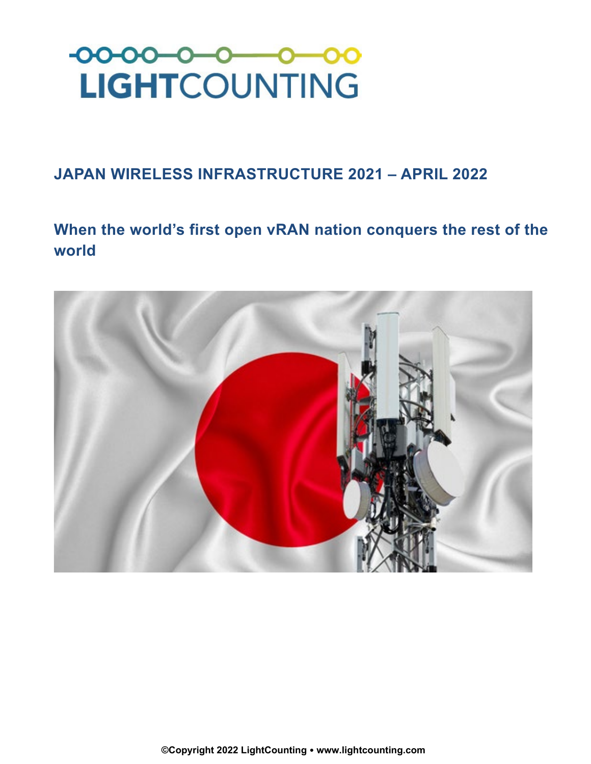

## **JAPAN WIRELESS INFRASTRUCTURE 2021 – APRIL 2022**

**When the world's first open vRAN nation conquers the rest of the world**

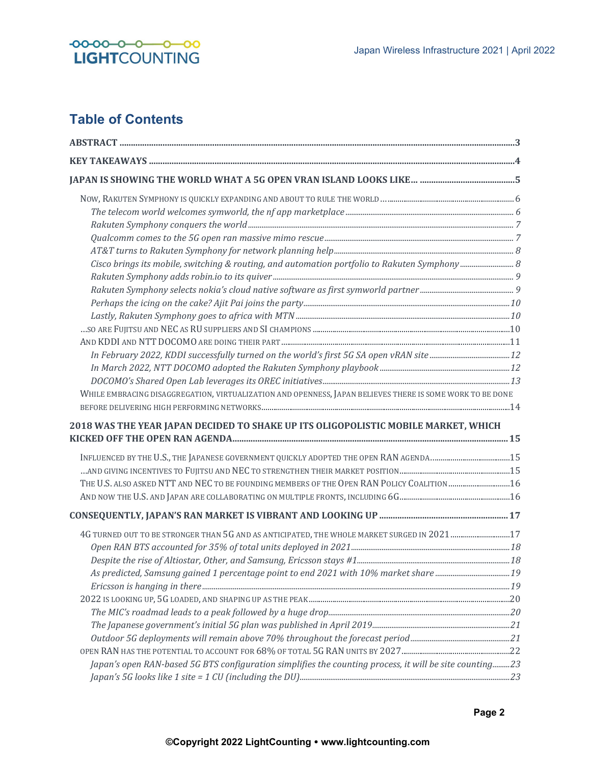

## **Table of Contents**

| WHILE EMBRACING DISAGGREGATION, VIRTUALIZATION AND OPENNESS, JAPAN BELIEVES THERE IS SOME WORK TO BE DONE |  |
|-----------------------------------------------------------------------------------------------------------|--|
|                                                                                                           |  |
| 2018 WAS THE YEAR JAPAN DECIDED TO SHAKE UP ITS OLIGOPOLISTIC MOBILE MARKET, WHICH                        |  |
|                                                                                                           |  |
|                                                                                                           |  |
|                                                                                                           |  |
| THE U.S. ALSO ASKED NTT AND NEC TO BE FOUNDING MEMBERS OF THE OPEN RAN POLICY COALITION 16                |  |
|                                                                                                           |  |
|                                                                                                           |  |
| 4G TURNED OUT TO BE STRONGER THAN 5G AND AS ANTICIPATED, THE WHOLE MARKET SURGED IN 2021 17               |  |
|                                                                                                           |  |
|                                                                                                           |  |
| As predicted, Samsung gained 1 percentage point to end 2021 with 10% market share 19                      |  |
|                                                                                                           |  |
|                                                                                                           |  |
|                                                                                                           |  |
|                                                                                                           |  |
|                                                                                                           |  |
|                                                                                                           |  |
| Japan's open RAN-based 5G BTS configuration simplifies the counting process, it will be site counting23   |  |
|                                                                                                           |  |